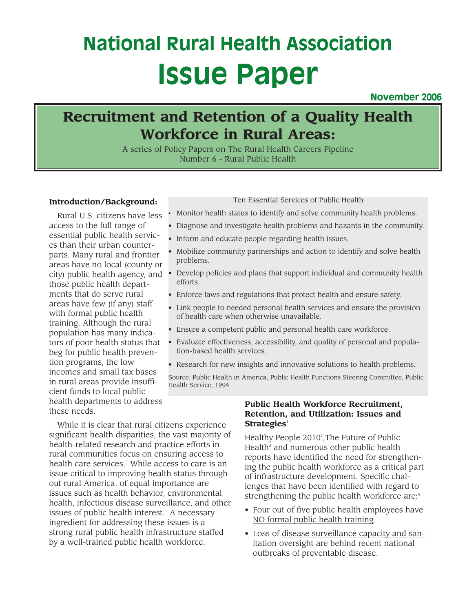# **National Rural Health Association Issue Paper**

### **November 2006**

## **Title: Workforce in Rural Areas: Recruitment and Retention of a Quality Health**

A series of Policy Papers on The Rural Health Careers Pipeline Number 6 - Rural Public Health

#### **Introduction/Background:**

Rural U.S. citizens have less access to the full range of essential public health services than their urban counterparts. Many rural and frontier areas have no local (county or city) public health agency, and those public health departments that do serve rural areas have few (if any) staff with formal public health training. Although the rural population has many indicators of poor health status that beg for public health prevention programs, the low incomes and small tax bases in rural areas provide insufficient funds to local public health departments to address these needs.

#### Ten Essential Services of Public Health

- Monitor health status to identify and solve community health problems.
- Diagnose and investigate health problems and hazards in the community.
- Inform and educate people regarding health issues.
- Mobilize community partnerships and action to identify and solve health problems.
- Develop policies and plans that support individual and community health efforts.
- Enforce laws and regulations that protect health and ensure safety.
- Link people to needed personal health services and ensure the provision of health care when otherwise unavailable.
- Ensure a competent public and personal health care workforce.
- Evaluate effectiveness, accessibility, and quality of personal and population-based health services.
- Research for new insights and innovative solutions to health problems.

Source: Public Health in America, Public Health Functions Steering Committee, Public Health Service, 1994

While it is clear that rural citizens experience significant health disparities, the vast majority of health-related research and practice efforts in rural communities focus on ensuring access to health care services. While access to care is an issue critical to improving health status throughout rural America, of equal importance are issues such as health behavior, environmental health, infectious disease surveillance, and other issues of public health interest. A necessary ingredient for addressing these issues is a strong rural public health infrastructure staffed by a well-trained public health workforce.

#### **Public Health Workforce Recruitment, Retention, and Utilization: Issues and Strategies**<sup>1</sup>

Healthy People 20102 ,The Future of Public Health $3$  and numerous other public health reports have identified the need for strengthening the public health workforce as a critical part of infrastructure development. Specific challenges that have been identified with regard to strengthening the public health workforce are:<sup>4</sup>

- Four out of five public health employees have NO formal public health training.
- Loss of disease surveillance capacity and sanitation oversight are behind recent national outbreaks of preventable disease.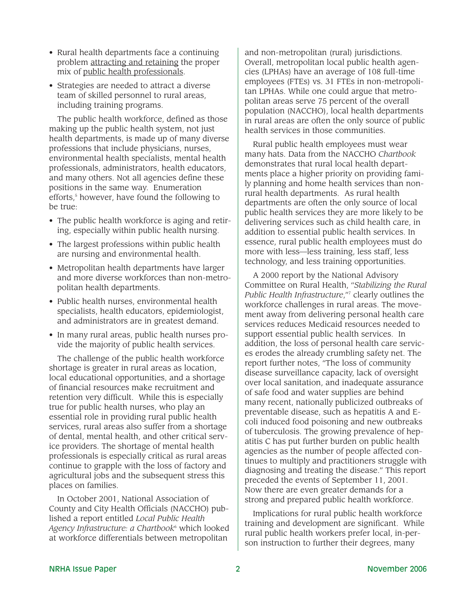- Rural health departments face a continuing problem attracting and retaining the proper mix of public health professionals.
- Strategies are needed to attract a diverse team of skilled personnel to rural areas, including training programs.

The public health workforce, defined as those making up the public health system, not just health departments, is made up of many diverse professions that include physicians, nurses, environmental health specialists, mental health professionals, administrators, health educators, and many others. Not all agencies define these positions in the same way. Enumeration efforts,<sup>5</sup> however, have found the following to be true:

- The public health workforce is aging and retiring, especially within public health nursing.
- The largest professions within public health are nursing and environmental health.
- Metropolitan health departments have larger and more diverse workforces than non-metropolitan health departments.
- Public health nurses, environmental health specialists, health educators, epidemiologist, and administrators are in greatest demand.
- In many rural areas, public health nurses provide the majority of public health services.

The challenge of the public health workforce shortage is greater in rural areas as location, local educational opportunities, and a shortage of financial resources make recruitment and retention very difficult. While this is especially true for public health nurses, who play an essential role in providing rural public health services, rural areas also suffer from a shortage of dental, mental health, and other critical service providers. The shortage of mental health professionals is especially critical as rural areas continue to grapple with the loss of factory and agricultural jobs and the subsequent stress this places on families.

In October 2001, National Association of County and City Health Officials (NACCHO) published a report entitled *Local Public Health Agency Infrastructure: a Chartbook*<sup>6</sup> which looked at workforce differentials between metropolitan

and non-metropolitan (rural) jurisdictions. Overall, metropolitan local public health agencies (LPHAs) have an average of 108 full-time employees (FTEs) vs. 31 FTEs in non-metropolitan LPHAs. While one could argue that metropolitan areas serve 75 percent of the overall population (NACCHO), local health departments in rural areas are often the only source of public health services in those communities.

Rural public health employees must wear many hats. Data from the NACCHO *Chartbook* demonstrates that rural local health departments place a higher priority on providing family planning and home health services than nonrural health departments. As rural health departments are often the only source of local public health services they are more likely to be delivering services such as child health care, in addition to essential public health services. In essence, rural public health employees must do more with less—less training, less staff, less technology, and less training opportunities.

A 2000 report by the National Advisory Committee on Rural Health, "*Stabilizing the Rural Public Health Infrastructure*,"7 clearly outlines the workforce challenges in rural areas. The movement away from delivering personal health care services reduces Medicaid resources needed to support essential public health services. In addition, the loss of personal health care services erodes the already crumbling safety net. The report further notes, "The loss of community disease surveillance capacity, lack of oversight over local sanitation, and inadequate assurance of safe food and water supplies are behind many recent, nationally publicized outbreaks of preventable disease, such as hepatitis A and Ecoli induced food poisoning and new outbreaks of tuberculosis. The growing prevalence of hepatitis C has put further burden on public health agencies as the number of people affected continues to multiply and practitioners struggle with diagnosing and treating the disease." This report preceded the events of September 11, 2001. Now there are even greater demands for a strong and prepared public health workforce.

Implications for rural public health workforce training and development are significant. While rural public health workers prefer local, in-person instruction to further their degrees, many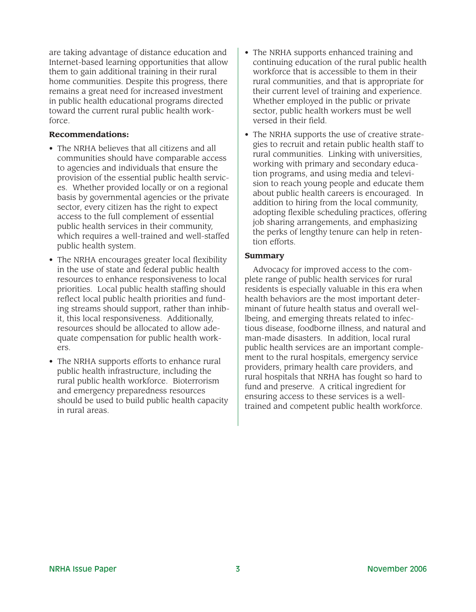are taking advantage of distance education and Internet-based learning opportunities that allow them to gain additional training in their rural home communities. Despite this progress, there remains a great need for increased investment in public health educational programs directed toward the current rural public health workforce.

#### **Recommendations:**

- The NRHA believes that all citizens and all communities should have comparable access to agencies and individuals that ensure the provision of the essential public health services. Whether provided locally or on a regional basis by governmental agencies or the private sector, every citizen has the right to expect access to the full complement of essential public health services in their community, which requires a well-trained and well-staffed public health system.
- The NRHA encourages greater local flexibility in the use of state and federal public health resources to enhance responsiveness to local priorities. Local public health staffing should reflect local public health priorities and funding streams should support, rather than inhibit, this local responsiveness. Additionally, resources should be allocated to allow adequate compensation for public health workers.
- The NRHA supports efforts to enhance rural public health infrastructure, including the rural public health workforce. Bioterrorism and emergency preparedness resources should be used to build public health capacity in rural areas.
- The NRHA supports enhanced training and continuing education of the rural public health workforce that is accessible to them in their rural communities, and that is appropriate for their current level of training and experience. Whether employed in the public or private sector, public health workers must be well versed in their field.
- The NRHA supports the use of creative strategies to recruit and retain public health staff to rural communities. Linking with universities, working with primary and secondary education programs, and using media and television to reach young people and educate them about public health careers is encouraged. In addition to hiring from the local community, adopting flexible scheduling practices, offering job sharing arrangements, and emphasizing the perks of lengthy tenure can help in retention efforts.

#### **Summary**

Advocacy for improved access to the complete range of public health services for rural residents is especially valuable in this era when health behaviors are the most important determinant of future health status and overall wellbeing, and emerging threats related to infectious disease, foodborne illness, and natural and man-made disasters. In addition, local rural public health services are an important complement to the rural hospitals, emergency service providers, primary health care providers, and rural hospitals that NRHA has fought so hard to fund and preserve. A critical ingredient for ensuring access to these services is a welltrained and competent public health workforce.